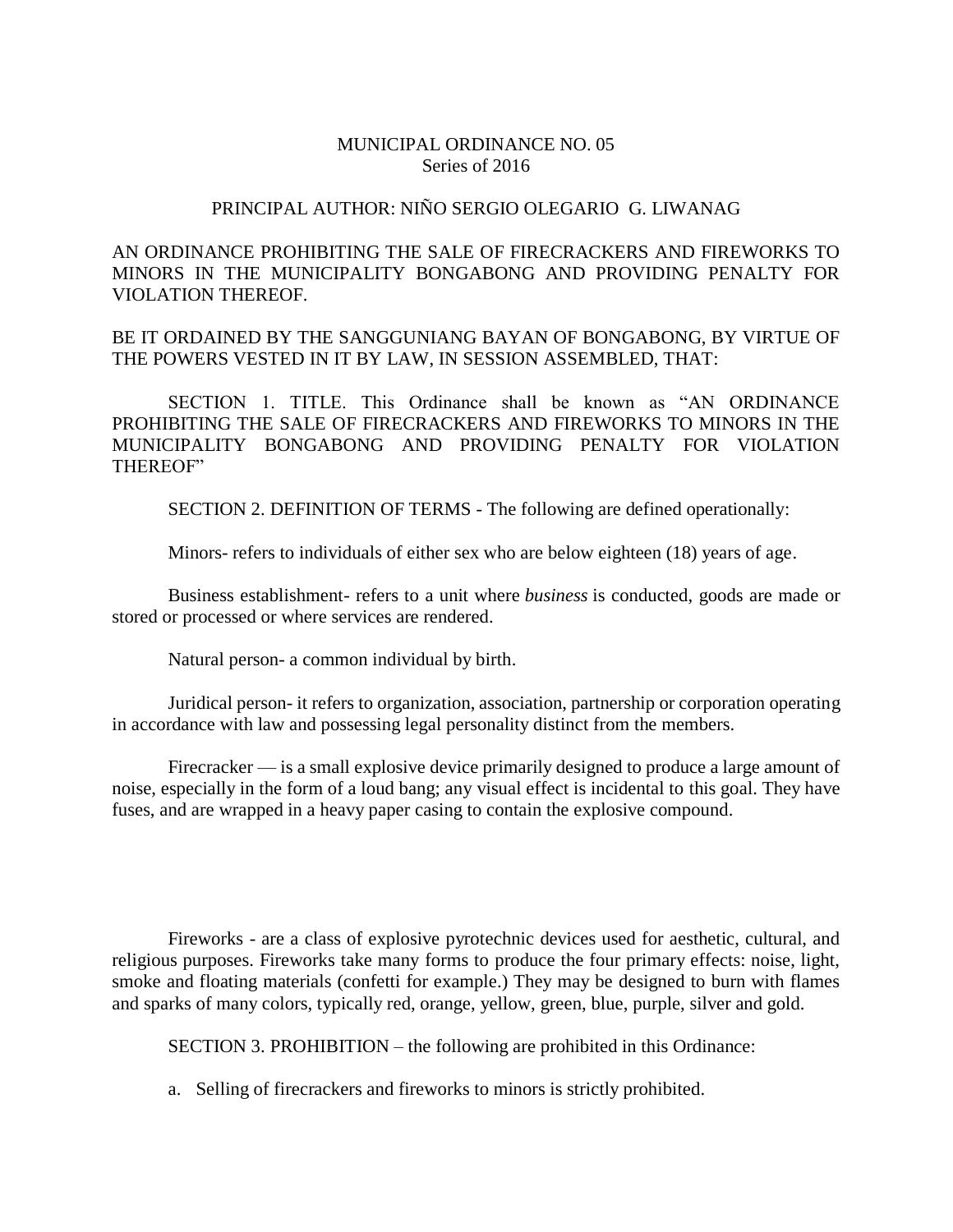## MUNICIPAL ORDINANCE NO. 05 Series of 2016

## PRINCIPAL AUTHOR: NIÑO SERGIO OLEGARIO G. LIWANAG

AN ORDINANCE PROHIBITING THE SALE OF FIRECRACKERS AND FIREWORKS TO MINORS IN THE MUNICIPALITY BONGABONG AND PROVIDING PENALTY FOR VIOLATION THEREOF.

BE IT ORDAINED BY THE SANGGUNIANG BAYAN OF BONGABONG, BY VIRTUE OF THE POWERS VESTED IN IT BY LAW, IN SESSION ASSEMBLED, THAT:

SECTION 1. TITLE. This Ordinance shall be known as "AN ORDINANCE PROHIBITING THE SALE OF FIRECRACKERS AND FIREWORKS TO MINORS IN THE MUNICIPALITY BONGABONG AND PROVIDING PENALTY FOR VIOLATION THEREOF"

SECTION 2. DEFINITION OF TERMS - The following are defined operationally:

Minors- refers to individuals of either sex who are below eighteen (18) years of age.

Business establishment- refers to a unit where *business* is conducted, goods are made or stored or processed or where services are rendered.

Natural person- a common individual by birth.

Juridical person- it refers to organization, association, partnership or corporation operating in accordance with law and possessing legal personality distinct from the members.

Firecracker — is a small explosive device primarily designed to produce a large amount of noise, especially in the form of a loud bang; any visual effect is incidental to this goal. They have fuses, and are wrapped in a heavy paper casing to contain the explosive compound.

Fireworks - are a class of explosive pyrotechnic devices used for aesthetic, cultural, and religious purposes. Fireworks take many forms to produce the four primary effects: noise, light, smoke and floating materials (confetti for example.) They may be designed to burn with flames and sparks of many colors, typically red, orange, yellow, green, blue, purple, silver and gold.

SECTION 3. PROHIBITION – the following are prohibited in this Ordinance:

a. Selling of firecrackers and fireworks to minors is strictly prohibited.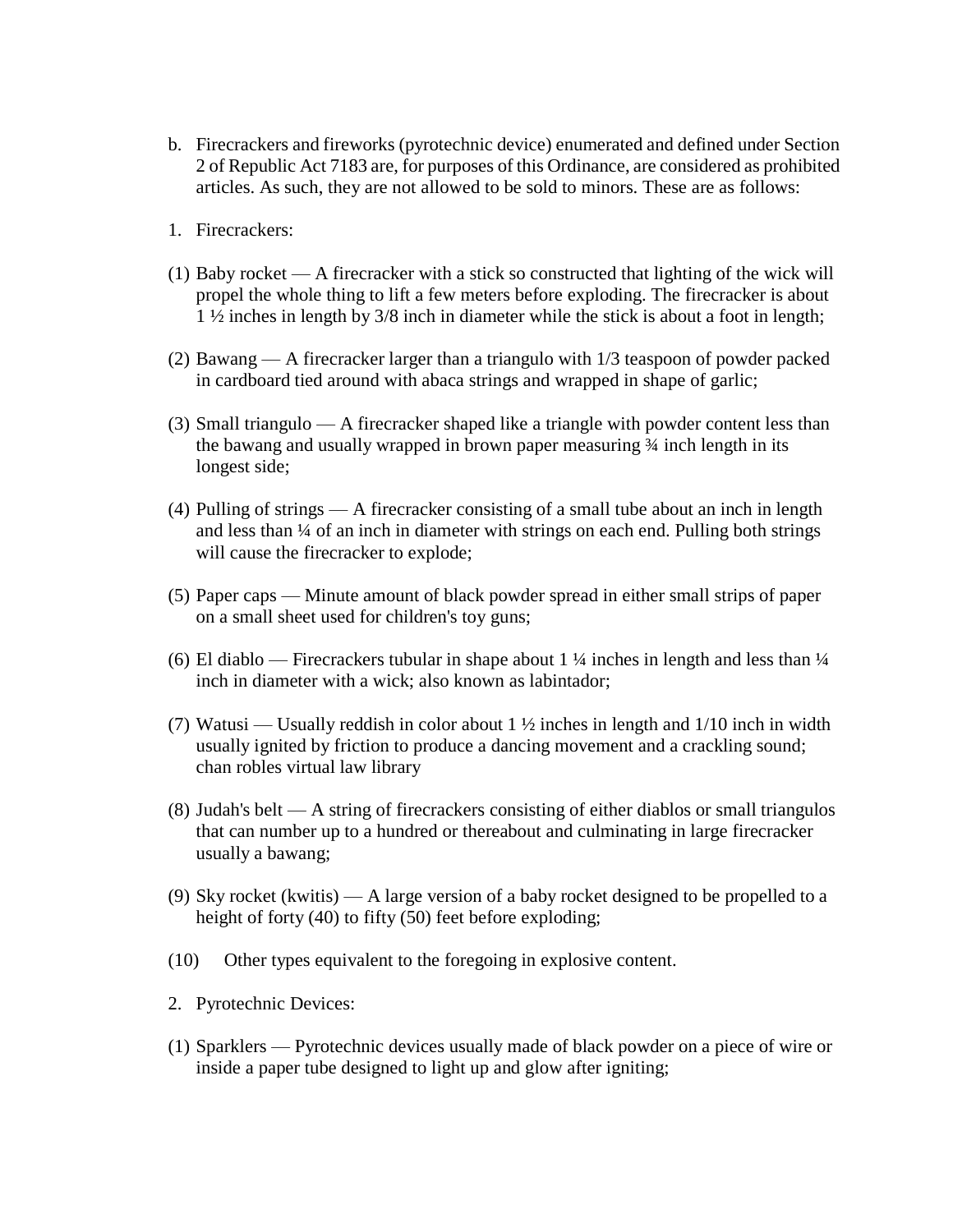- b. Firecrackers and fireworks (pyrotechnic device) enumerated and defined under Section 2 of Republic Act 7183 are, for purposes of this Ordinance, are considered as prohibited articles. As such, they are not allowed to be sold to minors. These are as follows:
- 1. Firecrackers:
- (1) Baby rocket A firecracker with a stick so constructed that lighting of the wick will propel the whole thing to lift a few meters before exploding. The firecracker is about 1 ½ inches in length by 3/8 inch in diameter while the stick is about a foot in length;
- (2) Bawang A firecracker larger than a triangulo with 1/3 teaspoon of powder packed in cardboard tied around with abaca strings and wrapped in shape of garlic;
- (3) Small triangulo A firecracker shaped like a triangle with powder content less than the bawang and usually wrapped in brown paper measuring ¾ inch length in its longest side;
- (4) Pulling of strings A firecracker consisting of a small tube about an inch in length and less than ¼ of an inch in diameter with strings on each end. Pulling both strings will cause the firecracker to explode;
- (5) Paper caps Minute amount of black powder spread in either small strips of paper on a small sheet used for children's toy guns;
- (6) El diablo Firecrackers tubular in shape about 1  $\frac{1}{4}$  inches in length and less than  $\frac{1}{4}$ inch in diameter with a wick; also known as labintador;
- (7) Watusi Usually reddish in color about  $1 \frac{1}{2}$  inches in length and  $1/10$  inch in width usually ignited by friction to produce a dancing movement and a crackling sound; chan robles virtual law library
- (8) Judah's belt A string of firecrackers consisting of either diablos or small triangulos that can number up to a hundred or thereabout and culminating in large firecracker usually a bawang;
- (9) Sky rocket (kwitis) A large version of a baby rocket designed to be propelled to a height of forty (40) to fifty (50) feet before exploding;
- (10) Other types equivalent to the foregoing in explosive content.
- 2. Pyrotechnic Devices:
- (1) Sparklers Pyrotechnic devices usually made of black powder on a piece of wire or inside a paper tube designed to light up and glow after igniting;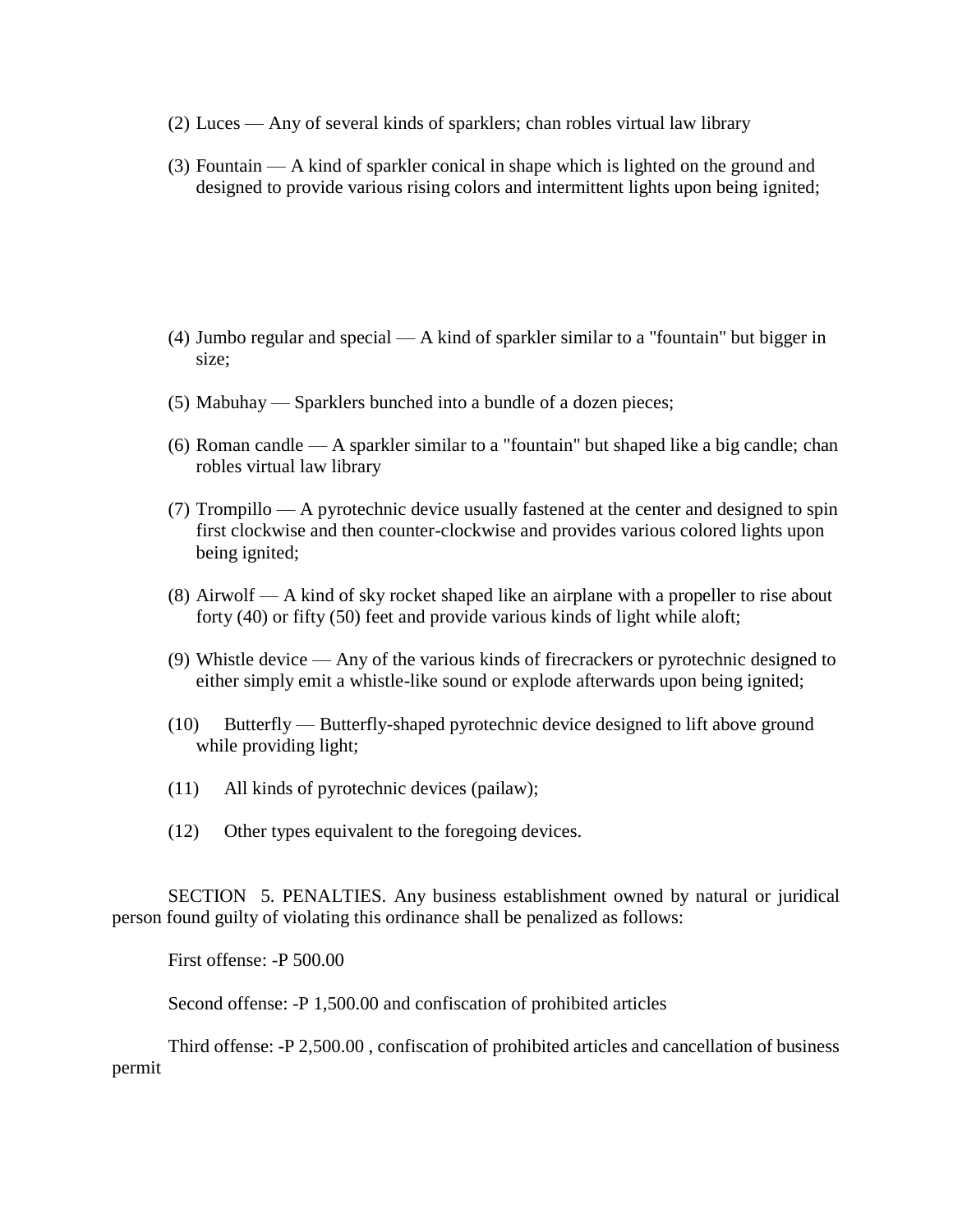- (2) Luces Any of several kinds of sparklers; chan robles virtual law library
- (3) Fountain A kind of sparkler conical in shape which is lighted on the ground and designed to provide various rising colors and intermittent lights upon being ignited;

- (4) Jumbo regular and special A kind of sparkler similar to a "fountain" but bigger in size;
- (5) Mabuhay Sparklers bunched into a bundle of a dozen pieces;
- (6) Roman candle A sparkler similar to a "fountain" but shaped like a big candle; chan robles virtual law library
- (7) Trompillo A pyrotechnic device usually fastened at the center and designed to spin first clockwise and then counter-clockwise and provides various colored lights upon being ignited;
- (8) Airwolf A kind of sky rocket shaped like an airplane with a propeller to rise about forty (40) or fifty (50) feet and provide various kinds of light while aloft;
- (9) Whistle device Any of the various kinds of firecrackers or pyrotechnic designed to either simply emit a whistle-like sound or explode afterwards upon being ignited;
- (10) Butterfly Butterfly-shaped pyrotechnic device designed to lift above ground while providing light;
- (11) All kinds of pyrotechnic devices (pailaw);
- (12) Other types equivalent to the foregoing devices.

SECTION 5. PENALTIES. Any business establishment owned by natural or juridical person found guilty of violating this ordinance shall be penalized as follows:

First offense: -P 500.00

Second offense: -P 1,500.00 and confiscation of prohibited articles

Third offense: -P 2,500.00 , confiscation of prohibited articles and cancellation of business permit